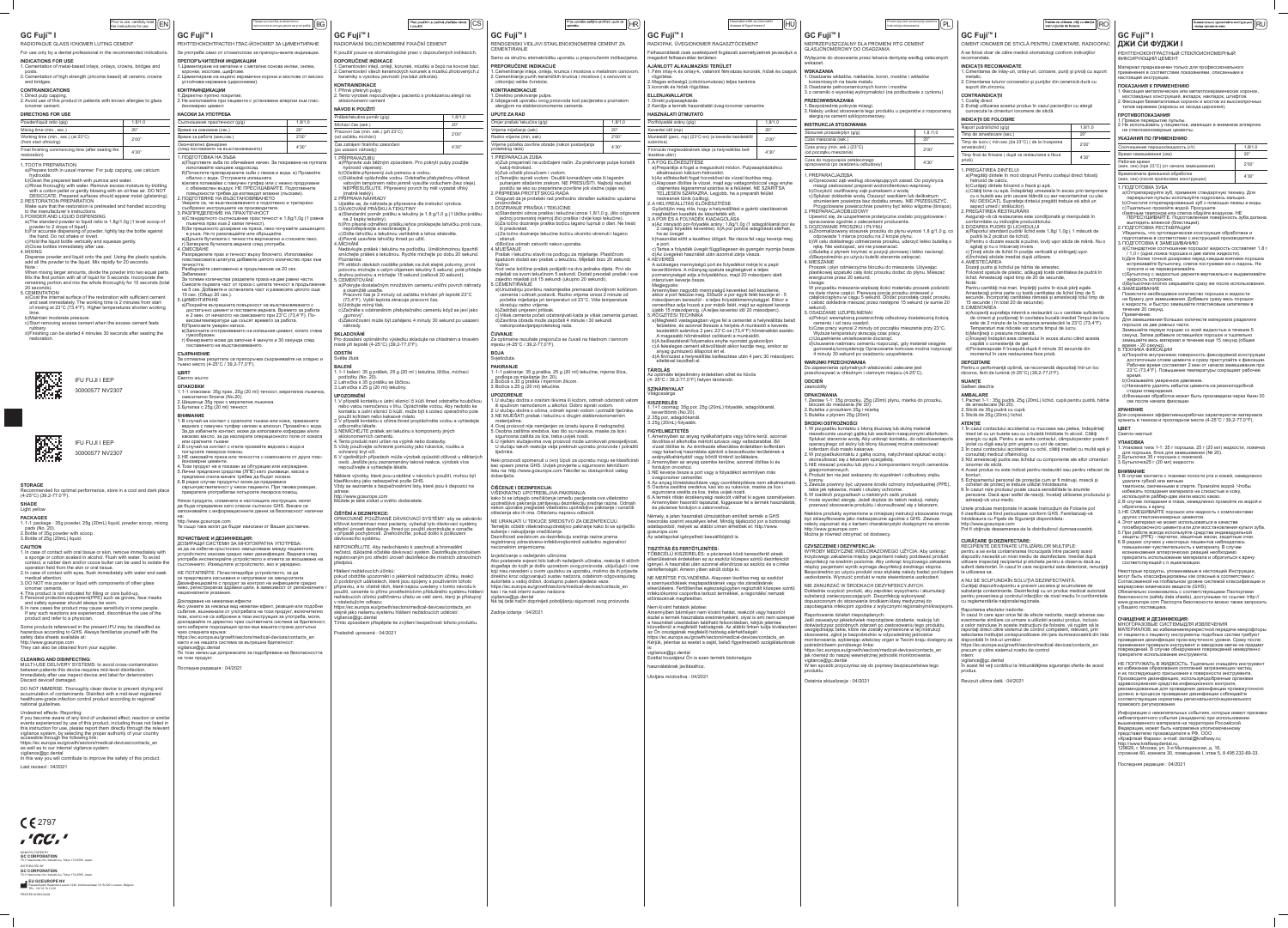# **GC** Fuji<sup>™</sup> I

Prior to use, carefully read  $\vert$   $\vert$   $\sf{EN}$ 

RADIOPAQUE GLASS IONOMER LUTING CEMENT

For use only by a dental professional in the recommended indications. **INDICATIONS FOR USE** 

1. Cementation of metal-based inlays, onlays, crowns, bridges and

### .posts 2. Cementation of high strength (zirconia based) all ceramic crowns

and bridges.

# **CONTRAINDICATIONS**

1. Direct pulp capping 2. Avoid use of this product in patients with known allergies to glass ionomer cement.

| Powder/liquid ratio (gig)                                             | 1.8/1.0 |
|-----------------------------------------------------------------------|---------|
| Mixing time (min., sec.)                                              | 20"     |
| Working time (min., sec.) (at 23°C)<br>(from start ofmixing)          | 2'00"   |
| Final finishing commencing time (after seating the<br>$r$ ontoration) | 4'30"   |

1. TOOTH PREPARATION

(restoration

- a)Prepare tooth in usual manner. For pulp capping, use calcium .hydroxide
- b) Clean the prepared teeth with pumice and water c) Rinse thoroughly with water. Remove excess moisture by blotting with a cotton pellet or gently blowing with an oil-free air. DO NOT
- DESICCATE. Prepared surfaces should appear moist (glistening). 2 RESTORATION PREPARATION Make sure that the restoration is pretreated and handled according
- to the manufacturer's instructions 3. POWDER AND LIQUID DISPENSING a) The standard powder to liquid ratio is 1.8g/1.0g (1 level scoop of
- powder to 2 drops of liquid) b)For accurate dispensing of powder, lightly tap the bottle against the hand. Do not shake or invert.
- c)Hold the liquid bottle vertically and squeeze gently. d)Close bottles immediately after use.
- 4. MIXING Dispense powder and liquid onto the pad. Using the plastic spatula, add all the powder to the liquid. Mix rapidly for 20 seconds.
- Note : When mixing larger amounts, divide the powder into two equal parts Mix the first portion with all of liquid for 5 seconds. Incorporate the remaining portion and mix the whole thoroughly for 15 seconds (total 20 seconds).
- 5. CEMENTATION a) Coat the internal surface of the restoration with sufficient cement and seat immediately. The working time is 2 minutes from start of mixing at 23°C (73.4°F). Higher temperatures shorten working
- time. b) Maintain moderate pressure. c) Start removing excess cement when the excess cement feels
- .rubbery d) Finishing can be started 4 minutes 30 seconds after seating the .restoration



IFU FUJI I EEP 30000577 NV 2307



**IFU FUJI I EEP** 30000577 NV 2307

**STORAGE**<br>Recommended for optimal performance, store in a cool and dark place  $(4-25^{\circ}C)(39.2-77.0^{\circ}F)$ . **SHADE**

# Light yellow

**PACKAGES** 1.1-1 package : 35g powder, 25g (20mL) liquid, powder scoop, mixing pads (No. 20).

2. Bottle of  $35g$  powder with scoop. 3. Bottle of 25q (20mL) liquid.

- **CAUTION**<br>1. In case of contact with oral tissue or skin, remove immediately with a sponge or cotton soaked in alcohol. Flush with water. To avoid contact, a rubber dam and/or cocoa butter can be used to isolate the
- operation field from the skin or oral tissue 2. In case of contact with eyes, flush immediately with water and seek medical attention.
- 3. DO NOT mix powder or liquid with components of other glass ionomer cements.
- 4. This product is not indicated for filling or core build-up. 5. Personal protective equipment (PPE) such as gloves, face masks
- and safety eyewear should always be worn. 6. In rare cases the product may cause sensitivity in some people. If any such reactions are experienced, discontinue the use of the

product and refer to a physician Some products referenced in the present IFU may be classified as  $\alpha$  azardous according to GHS. Always familiarize yourself with the

safety data sheets available at: http://www.gceurope.com They can also be obtained from your supplier.

### **CLEANING AND DISINFECTING**

MULTI-USE DELIVERY SYSTEMS: to avoid cross-contamination between patients this device requires mid-level disinfection. Immediately after use inspect device and label for deterioration. Discard deviceif damaged

DO NOT IMMERSE. Thoroughly clean device to prevent drying and accumulation of contaminants. Disinfect with a mid-level registered ealthcare-grade infection control product according to regional/ national guidelines.

# Undesired effects- Reporting:

If you become aware of any kind of undesired effect, reaction or similar events experienced by use of this product, including those not listed in this instruction for use, please report them directly through the relevant vigilance system, by selecting the proper authority of your country accessible through the following link: https://ec.europa.eu/growth/sectors/medical-devices/contacts en

as well as to our internal vigilance system: vigilance@gc.dental In this way you will contribute to improve the safety of this product.

Last revised :  $04/2021$ 

 $C$   $E$  2797 ,'GC,

**MANUFACTURED BY<br>GC CORPORATION** 76-1 Hasunuma-cho, Itabashi-ku, Tokyo 174-8585, Japan DISTRIBUTED BY<br>**GC CORPORATION** vo 174-8585, Japa

**КОНТРАИНДИКАЦИИ** . Директно пулпно покритие

НA<sub>C</sub>

# 2. Не използвайте при пациенти с установени алергии към глас-<br>йономерен цимент.

Светло жълто **ОПАКОВКИ**

- 1.1-1 опаковка: 35g прах, 25g (20 ml) течност, мерителна лъжичка,
- смесително блокче (No.20). . Шишенце 35 прах с мерителна лъжичка. 3. Бутилка с 25ğ (20 ml) течност.

**ВНИМАНИЕ** . В случай на контакт с оралните тъкани или кожа, премахнете веднага с памучен тупфер напоен в алкохол. Промийте с вода. За да избегнете контакт, може да използвате кофердам и/или какаово масло, за да изолирате операционното поле от кожата или оралните тъкани

- 2. В случай на контакт с очите промийте веднага с вода и потърсете лекарска помош
- 3. НЕ смесвайте праха или течността с компоненти от други глас-<br>йономерни цименти. .<br>Този продукт не е показан за обтурации или изграждан 5. Лични предпазни средства (ЛПЕ) като ръкавици, маска и
- предпазни очила винаги трябва да бъдат носени. 6.В редки случаи продуктът може да предизвика свръхчувствителност у някои пациенти. При такива реакции
- прекратете употребатаи потърсете лекарска помощ. 1якои продукти, споменати в настоящите инструкции, могат

да бъда определени като опасни съгласно GHS. Винаги се запознавайте с информационните данни за безопасност налични на:

http://www.gceurope.com Те също така могат да бъдат изискани от Вашия доставчик.

## **ПОЧИСТВАНЕ И ЛЕЗИНФЕКЦИЯ:**

ДОЗИРАЩИ СИСТЕМИ ЗА МНОГОКРАТНА УПОТРЕБА: а да се избегне кръстосано замърсяване между пациентите стройството изисква средно ниво дезинфекция. Веднага след потреба инспектирайте устройството и етикета за влошаване на ъстоянието. Изхвърлете устройството, ако е увредено.

НЕ ПОТАПЯИТЕ. Почистетедобре устройството, за да се предотврати изсъхване и натрупване на замърсители.

Дезинфекцирайте с продукт за контрол на инфекциите средно ниво, регистриранза здравни цели, в зависимост от регионалните / националните указания.

### окладване на нежелани ефекти:

..<br>Ако узнаете за някакъв вид нежелан ефект, реакция или подобни събития, възникнали от употребата на този продукт, включително тези, които не са изброени в тази инструкция за употреба, моля, юкладвайте ги директно чрез съответната система за бдителност. като изберете подходящия орган във вашата страна достъпни рез следната връзка:

https://ec.europa.eu/growth/sectors/medical-devices/contacts\_en както и на нашата система за вътрешна бдителност: igilance@gc.dental

туллисте зудествени.<br>По този начин ще допринесете за подобряване на безопасността на този продукт.

1оследна редакция : 04/2021

**GC** Fuji™ I

RADIOPÁKNÍ SKLOIONOMERNÍ FIXAČNÍ CEMENT K použití pouze ve stomatologické praxi v doporučených indikacích.

**DOPORUČENÉ INDIKACE** Cementování inlejí, onlejí, korunek, můstků a čepů na kovové bázi. . Cementování všech keramických korunek a můstků zhotovených z

2. Tento výrobek nepoužívejte u pacientů s prokázanou alergií na

Prášek/tekutina poměr (g/g) (component expansion de 1,8/1,0 Míchací čas (sek.) 20"

a) Připravte zub běžným způsobem. Pro pokrytí pulpy použijte

c) Důkladně opláchněte vodou. Odstraňte přebytečnou vlhkost vatovým tampónem nebo jemně vysušte vzduchem (bez oleje). NEPŘESUŠUJTE. Připravený povrch by měl vypadat vlhký

Ujistěte se, že náhrada je připravena dle instrukcí výrobce.

c)Držte lahvičku s tekutinou vertikálně a lehce stiskněte

a)Standardní poměr prášku a tekutiny je 1,8 g/1,0 g (1 lžička prášku

b)Pro přesné odměření prášku lehce proklepejte lahvičku proti ruce,

Nadávkujte prášek i tekutinu na podložku. Umělohmotnou špachtlí smíchejte prášek s tekutinou. Rychle míchejte po dobu 20 sekund.

a)Pokryjte dostatečným množstvím cementu vnitřní povrch náhrady

Pracovní čas je 2 minuty od začátku míchání při teplotě 23°C

c)́Začněte s odstraněním přebytečného cementu když se jeví jako

d) Zakončování může být zahájeno 4 minuty 30 sekund po usazení

.<br>Pro dosažení optimálního výsledku skladujte na chladném a tmavém

l. 1-1 balení: 35 g prášek, 25 g (20 ml ) tekutina, lžička, míchací

1. V případě kontaktu s ústní sliznicí či kůží ihned odstraňte houbičkou nebo vatou namočenou v lihu. Opláchněte vodou. Aby nedošlo ke pole v meračního izolací či kůží, může být k izolaci operačního pole

 $\dot{\;}$ V případě kontaktu s očima ihned propláchněte vodou a vyhledejte

i.V ojedinělých případech může výrobek způsobit citlivost u některých osob. Jestliže jsou zaznamenány takové reakce, výrobek více

Některé výrobky, které jsou uváděné v návodu k použití, mohou být

Vždy se seznamte s bezpečnostními listy, které jsou k dispozici na

OPAKOVANĚ POUŽÍVANÉ DÁVKOVACÍ SYSTÉMY: aby se zabránilo křížové kontaminaci mezi pacienty, vyžadují tyto dávkovací systémy střední úroveň dezinfekce. Ihned po použití zkontrolujte a označte v případě pochybností. Znehodnotte, pokud došlo k poškození

NEPONOŘUJTE. Aby nedocházelo k zaschnutí a hromadění nečistot, důkladně očistěte dávkovací systém. Dezinfikujte produkten registrovaným pro střední úroveň dezinfekce dle místních zdravotních

pokud obdržíte upozornění o jakémkoli nežádoucím účinku, reakci .<br>či podobných událostech, které jsou spojeny s používáním tohoto přípravku, a to včetně těch, které nejsou uvedeny v tomto návodu k použití, oznamte to přímo prostřednictvím příslušného systému hlášení přístupný remance přístupný představenímu procesové remance nežádoucích účinků patřičnému úřadu ve vaší zemi, který je přístupný

https://ec.europa.eu/growth/sectors/medical-devices/contacts\_en stejně jako našemu systému hlášení nežádoucích událostí:

Tímto způsobem přispějete ke zvýšení bezpečnosti tohoto produktu.

3. NEMÍCHEJTE prášek ani tekutinu s komponenty jiných

. Tento produkt není určen na výplně nebo dostavby. 5. Vždy používejte ochranné pomůcky jako rukavice, roušku a

(73,4°F). Vyšší teplota zkracuje pracovní čas.

místě při teplotě (4-25°C) (39,2-77,0°F).

2. Lahvička s 35 g prášku se Ižičkou. 3. Lahvička s 25  $\mathrm{\bar{q}}$  (20 ml) tekutiny.

použit kofrdam nebo kakaové máslo.

Při větších dávkách rozdělte prášek na dvě stejné poloviny, prv polovinu míchejte s celým objemem tekutiny 5 sekund, poté přidejte<br>druhou polovinu a míchejte 15 sekund (celkově 20 sekund).

b)Očistěte připravený zub pemzou a vodou

. DÁVKOVÁNÍ PRÁŠKU A TEKUTINY

neprotřepávejte a neobracejte ji.

d)Pevně uzavřete lahvičky ihned po užití.

 $2'00"$ 

použitím si pečlivě přečtěte návod  $\|\mathsf{CS}\|$ 

proizvođača.

 $i$ li preokretati.

Edicatio Hiljesau je<br>F. CEMENTIRANJE

skraćuju radno vrijeme. b)Zadržati umjereni pritisak

mjestu (4-25°C / 39,2-77,0°F).

podloga za miješanje (br. 20). . Bočica s 35 g praška i miernom žlicom. 8. Bočica s 25 g (20 ml) tekućine.

akonpostavljanjaprotetskog rada.

stisnuti.

**MIJEŠANJE** 



PRINTED IN BELGIUM

**I GC Fuji™ I** 

РЕНТГЕНОКОНТРАСТЕН ГЛАС-ЙОНОМЕР ЗА ЦИМЕНТИРАНЕ 3а употреба само от стоматолози за препоръчаните индика<mark>ци</mark>и.

Преди употреба, внимателно $_{\rm{nproverere}}$   $\vert\rm{B}\rm{G}$ 

**ИНДИКАЦИИ ПРЕПОРЪЧИТЕЛНИ**

. Циментиране на метални и с метална основа инлеи, онлеи. коронки, мостове, щифтове. 2. Циментиране на изцяло керамични корони и мостове от високс

устойчива керамика (циркониеви).

| НАСОКИ ЗА УПОТРЕБА                                             |         |  |
|----------------------------------------------------------------|---------|--|
| Съотношение прах/течност (g/g)                                 | 1,8/1,0 |  |
| Време за смесване (сек.)                                       | 20"     |  |
| Време за работа (мин,сек.)                                     | 2'00"   |  |
| Окончателно финиране<br>(след поставянето на възстановяването) | 4'30"   |  |

. ПОДГОТОВКА НА ЗЪБА

- а) Подгответе зъба по обичайния начин. За покриване на пулпата използвайте калциев хидроксид. б)Почистете препарираните зъби с пемза и вода. в) Промийт<mark>е</mark>  $\sigma$ обилно с вода. Отстранете излишната
- в)влага попивайки с памучен тупфер или с нежно продухване с обезмаслен въздух. НЕ ПРЕСУШАВАЙТЕ. Подготвените повърхности трябва да изглеждат влажни (лъскави).
- ПОДГОТВЯНЕ НА ВЪЗСТАНОВЯВАНЕТО /верете се, че възстановяването е подготвено и третирано съобразно инструкциите на производителя.
- РАЗПРЕДЕЛЕНИЕ НА ПРАХ/ТЕЧНОСТ
- а) Стандартното съотношение прах:течност е 1,8g/1,0g (1 равна лъжичка прах към 2 капки течност). б)За прецизното дозиране на праха, леко почукайте шишенцето  $\hat{a}$ в ръка. Не го разклащайте или обръщайте.
- в) Дръжте бутилката с течността вертикално и стиснете леко г) Затворете бутилката веднага след употреба. . CMECBAHE
- Разпределете прах и течност върху блокчето. Използвайки пластмасовата шпатула добавете цялото количество прах към
- течността. Разбъркайте светкавично в продължение на 20 сек
- :Забележка а големи количества разделете праха на две равни части Смесете първата част от праха с цялата течност в продължение
- на 5 сек. Добавете и останалата част и размесете цялото още 5 сек. (Общо 20 сек.). **ПИМЕНТИРАНЕ** а) Покрийте вътрешната повърхност на възстановяването с
- достатъчно цимент и поставете веднага. Времето за работа е 2 мин. от началото на смесването при 23°C (73,4°F). По-<br>високитемператури ще скъсят времето за работа.
- )Приложете умерен натиск. в)Започнете отстраняването на излишния цимент, когато стане .гумообразен
- ) Финирането може да започне 4 минути и 30 секунди след поставянето на възстановяването.
- **СЪХРАНЕНИЕ** За оптмални резултати се препоръчва съхранявайте на хладно и тъмно място (4-25°С / 39,2-77,0°F).

.náhrady **SKI ADOVÁNÍ** 

podložky (No. 20).

ného lékaře

ochranný kryt očí.

http://www.gceurope.com

**ČIŠTĚNÍ A DEZINFEKCE:** 

dávkovacího systému.

Hlášení nežádoucích účinků:

následujícím odkazu:

vigilance@gc.dental\_

Posledně upravené : 04/2021

# **ЦВЯТ**

| Prije uporabe pažljivo pročitati upute za<br>uporabu.                                                                                                                                                     | ΗF                                |                                                                                            |
|-----------------------------------------------------------------------------------------------------------------------------------------------------------------------------------------------------------|-----------------------------------|--------------------------------------------------------------------------------------------|
| GC Fuji <sup>™</sup> I                                                                                                                                                                                    |                                   | GC Fuji™                                                                                   |
| RENDGENSKI VIDLJIVI STAKLENOIONOMERNI CEMENT ZA<br><b>CEMENTIRANJE</b>                                                                                                                                    | RADIOPAK, ÜV                      |                                                                                            |
| Samo za stručnu stomatološku uporabu u preporučenim indikacijama.                                                                                                                                         | Felhasználását<br>megadott felhas |                                                                                            |
| <b>PREPORUČENE INDIKACIJE</b><br>1. Cementiranje inleja, onleja, krunica i mostova s metalnom osnovom.<br>2. Cementiranje punih keramičkih krunica i mostova (s osnovom iz<br>cirkonija) velike čvrstoće. |                                   | <b>AJÁNLOTT AL</b><br>1. Fém inlay-k é<br>rögzítése.<br>2. Magas erőss<br>3. koronák és hi |
| <b>KONTRAINDIKACIJE</b><br>1. Direktno prekrivanje pulpe.<br>2. Izbjegavati uporabu ovog proizvoda kod pacijenata s poznatom<br>alergijom na staklenoionomerne cemente.                                   |                                   | <b>ELLENJAVALL</b><br>1. Direkt pulpas<br>2. Kerülje a tern                                |
| <b>UPUTE ZA RAD</b>                                                                                                                                                                                       |                                   | <b>HASZNÁLATI Ú</b>                                                                        |
| Omjer prašak/ tekućina (g/g)                                                                                                                                                                              | 1,8/1,0                           | Por/folyadék ará                                                                           |
| Vrijeme miješanja (sek)                                                                                                                                                                                   | 20"                               | Keverési idő (mp                                                                           |
| 2'00"<br>Radno vrijeme (min, sek)                                                                                                                                                                         |                                   | Munkaidő (perc,                                                                            |
| Vrijeme početka završne obrade (nakon postavljanja<br>protetskog rada)                                                                                                                                    | 4'30"                             | számítva)<br>Finírozás megke<br>lesztése után)                                             |
| 1 PREPARACIJA ZURA<br>a) Zub preparirati na uobičajeni način. Za prekrivanje pulpe koristiti<br>kalcij-hidroksid.<br>h) Zub očietiti plovučeom i vodom                                                    |                                   | 1. A FOG ELŐK<br>a)Preparálja<br>alkalmazza                                                |

| Használat előtt az útmutatót<br>olvassa el figyelmesen! |
|---------------------------------------------------------|
|---------------------------------------------------------|

### **TÁROLÁS** ális teljesítmény érdekében sötét és hűvös

 $(4 - 25^{\circ}$ C.  $/ 39.2 - 77.0^{\circ}$ F) helyen tárolandó. **SZÍNÁRNYALAT**

- **FIGYELMEZTETÉS** Amennyiben az anyag nyálkahártyára vagy bőrre kerül, azonnal távolítsa el alkoholba mártott szivacs vagy vattadarabbal. Bő vízzel öblítse le. Az érintkezés elkerülése érdekében kofferdám vagy kakaóvaj használata ajánlott a beavatkozás területének a vagy ..............<br>szájnyálkahártyától vagy bőrtől történő izolálására. . Amennyiben az anyag szembe kerülne, azonnal öblítse ki és
- fordulion orvoshoz. 8.NE keverje össze a port vagy a folyadékot semmilyen más üvegionomer cementtel.
- 4. Az anyag töméskészítésre vagy csonkfelépítésre nem alkalmazhat . Osobna zastitna sredstva, kao sto su rukavice, maske za lice i sigurnosna zastita za lice, treba uvijek nositi.
- .<br>. A termék ritkán érzékenységi reakciót válthat ki egyes személyekeı 1nyiben hasonlót tapasztal, függessze fel a termék használatát és páciense forduljon s zakorvoshoz.
- Jémely, a jelen használati útmutatóban említett termék a GHS besorolás szerint veszélyes lehet. Mindig tájékozód jon a biztonsági adatlapokból, melyek az alábbi címen érhetőek el: http://www.
- gceurope.com .<br>Az adatlapokat igényelheti beszállítójától is.

# **TISZTÍTÁS ÉS FERTŐTLENÍTÉS:**

- TÖBBCÉLÚ KISZERELÉS: a páciensek közti keresztfertő zések elkerülésének érdekében ez az eszköz közepes szintű dezinfekciót  $\parallel$  igénvel. A használat után azonnal ellenőrizze az eszköz és a címke sérteflenségét. Amenn yiben sérült dobja ki
- NE MERÍTSE FOLYADÉKBA. Alaposan tisztítsa meg az eszközt a szennyeződések megtapadásának vagy rás záradásának elkerülésére. Fertőtlenítse egészségügyben regisztrált közepes szintű infekciókontrol csoportba tartozó termékkel, a regionális/ nemzeti előírásoknak megfelelőer

# Nem kívánt hatások jelzése:

Amennyiben bármilyen nem kívánt hatást, reakciót vagy hasonlót észlel a termék használata eredményeként, olyat is ami nem szerepel a használati utasításban található felsorolásban, kérjük jelentse közvetlenül a megfelelő hatóságnak. Az alábbi linken tudja kiválasztar az Ön országának megfelelő hatóság elérhetőségét: https://ec.europa.eu/growth/sectors/medical-devices/contacts\_en Kérjük, jelentse az esetet a saját, belső figyelmeztető szolgálatunknak

:Poznámka

**CEMENTOVÁN** 

."gumový"

### :is vigilance@gc.dental

Ezáltal hozzájárul On is ezen termék biztonságos

használatának javításához.

Utoliára módosítva : 04/2021

**GC Fuji™ I** 

 $\sqrt{\text{HU}}$ 

**ODSTÍN** Světle žlutá **BALENÍ**

a okamžitě usaďte.

b)Udržujte mírný tlak

na 2 kapky tekutiny).

Pracovní čas (min. sek.) (při 23°C)

Wyłącznie do stosowania przez lekarza dentystę według zalecanych .wskazań

**UPOZORNĚNÍ**

:adrese

předpisů.

skloionomerních cementů.

nepoužívejte a vyhledejte lékaře.

klasifikovány jako nebezpečné podle GHS.

Můžete je také získat u svého dodavatele

:Važno

### 3. Sticlă de 25g (20mL) lichid. **ATENŢIE**

l. În cazul contactului accidental cu mucoasa sau pielea, îndepărtați imed iat cu un burete sau cu o buletă îmbibate în alcool. Clătiți energic cu apă. Pentru a se evita contactul, câmpuloperator poate f izolat cu digă sau/și prin ungere cu unt de cacao.

- În cazul contactului accidental cu ochii, clătiți imediat cu multă apă ș consultati medicul oftalmolog 3.NU amestecaţi pudra sau lichidul cu componente ale altor cimentur
- ionomer de sticlă. 4. Acest produs nu este indicat pentru restaurări sau pentru refaceri de .bonturi
- . Echipamentul personal de protecție cum ar fi mănuşi, mască și ochelari de protect ie trebuie utilizat întotdeauna anumiture protoc<sub>i</sub>to dissensi annum moteocidina<br>6. În cazuri rare produsul poate cauza sensibilitate la anumite persoane. Dacă apar astfel de reacții, încetați utilizarea produsului adresati-vă unui medic.

Unele produse menționate în aceste Instrucțiuni de Folosire pot fi clasificate ca fiind periculoase conform GHS. Familiarizaţi-vă întotdeauna cu Fișele de Siguranță disponibilela: http://www.gceurope.com

## Pot fi obţinute deasemenea de la distribuitorul dumneavoastră.

**ČUVANJE**

**BOJA Svjetložuta PAKIRANJE**

 $\hat{\text{c}}$ ) Temeliito isprati vodom. Osušiti komadićem vate ili laganim puhanjem stlačenim zrakom. NE PRESUŠITI. Najbolji rezultati postižu se ako su preparirane površine još vlažne (sjaje se).

Osigurati da je protetski rad prethodno obrađen sukladno uputama

a)Standardni odnos praška i tekućine iznosi 1,8/1,0 g, (što odgovara jednoj poravnatoj mjernoj žlici praška i dvije kapi tekućine). b)Za točno doziranje praška bočicu lagano lupnuti o dlan. Ne tresti

c) Za točno doziranje tekućine bočicu okomito okrenuti i lagano

Prašak i tekućinu staviti na podlogu za miješanje. Plastičnom špatulom dodati sav prašak u tekućinu. Miješati brzo 20 sekundi.

edno miješati još 15 sekundi (ukupno 20 sekundi).

d)Završna obrada može započeti 4 minute i 30 sekundi

Za optimalne rezultate preporuča se čuvati na hladnom i tamnom

.1-1 pakiranje: 35 g praška, 25 g (20 ml) tekućine, mjerna žlica,

U slučaju dodira s oralnim tkivima ili kožom, odmah odstraniti vatom li spužvom namočenom u alkohol. Dobro isprati vodom . U slučaju dodira s očima, odmah isprati vodom i potražiti liječnika. 8.NE MIJEŠATI prašak i tekućinu s drugim staklenoionomernim

l. Ovaj proizvod nije namijenjen za izradu ispuna ili nadogradnj 5. Osobna zaštitna sredstva, kao što su rukavice, maske za lice i

6. U rijetkim slučajevima ovaj proizvod može uzrokovati preosjetljivost U slučaju takvih reakcija valja prekinuti uporabu proizvoda i potražiti

Neki proizvodi spomenuti u ovoj Uputi za uporabu mogu se klasificirati kao opasni prema GHS. Uvijek provjerite u sigurnosno tehničkom istu na: http://www.gceurope.com Također su dostupnikod vašeg

kako bi se izbjeglo onečišćenje između pacijenata ova višekratno upotrebljiva pakiranja zahtijevaju dezinfekciju srednje razine. Odmah nakon uporabe pregledati višekratno upotrebljivo pakiranje i označiti

NE URANJATI U TEKUĆE SREDSTVO ZA DEZINFEKCIJU. Temeljito očistiti višekratnoupotreblijvo pakiranje kako bi se spriječilo

Dezinficirati sredstvom za dezinfekciju srednje razine prema egistriranoi zdravstveno-infektivnojkontroli sukladno regionalno/

Ako postanete sviesni bilo kakvih neželienih učinaka, reakcija ili sličnih događaja do kojih je došlo uporabom ovog proizvoda, uključujući i one

direktno kroz odgovarajući sustav nadzora, odabirom odgovarajućeg autoriteta u vašoj državi, dostupno putem sljedeće veze: https://ec.europa.eu/growth/sectors/medical-devices/contacts en

Na taj ćete način doprinijeti poboljšanju sigurnosti ovog proizvoda.

vom uputstvu za uporabu, molimo da ih prijavite

sigurnosna zaštita za lice, treba uvijek nositi.

vIŠEKRATNO UPOTREBLJIVA PAKIRANJA:

oštećenja ako ih ima. Oštećenu napravu odbaciti.

Kod veće količine prašak podijeliti na dva jednaka dijela. Prvi dio miješati sa svom tekućinom 5 sekundi. Dodati preostali prašak i sve

a) Unutrašnju površinu nadomjestka premazati dovoljnom količinom cementa i odmah postaviti. Radno vrijeme iznosi 2 minute od početka miješanja pri temperaturi od 23°C. Više temperature

........................<br>:)Višak cementa početi odstranjivati kada je višak cementa gumast.

b)Zub očistiti plovučcem i vodom.

2. PRIPREMA PROTETSKOG RADA

3. DOZIRANJE PRASKA I TEKUĆINE

1)Bočice odmah zatvoriti nakon uporabe.

 $4'30''$ 

### keramiky s vysokou pevností (na bázi zirkonia). **KONTRAINDIKACE** 1. Přímé překrytí pulpy.

skloionomerní cement **NÁVOD K POUŽITÍ** 

od začátku m<sup>ř</sup>chání) Čas zahájení finálního zakončen

po usazení náhrady) 1. PŘÍPRAVAZUBL

hydroxid vápenatý

(matně lesklý) PŘÍPRAVA NÁHRADY

I.MICHANI

**UPOZORENJE**

.materijalima

liječnika.

https://ec.europa.eu/growth/sectors/medical-devices/contacts\_en precum și către sistemul nostru de control :intern

vigilance@gc.dental În acest fel veți contribui la îmbunătățirea siguranței oferite de acest produs.

Revizuit ultima dată : 04/2021

nainte de utilizare, citiți cu atenție $\left\lvert\left(\mathsf{RO}\right)\right\rvert$ 

**GC Fuji™ I** 

ФИКСИРУЮЩИЙ ЦЕМЕНТ настоящей инструкции.

| <b>DICATII DE FOLOSIRE</b>                                                                |         |
|-------------------------------------------------------------------------------------------|---------|
| aport pudră/lichid (q/q)                                                                  | 1,8/1,0 |
| np de amestecare (sec.)                                                                   | 20"     |
| np de lucru (min.sec.)(la 23°C) ( de la începerea<br>estecării)                           | 2'00"   |
| np final de finisare ( după ce restaurarea a făcut<br>$\neg$ $\stackrel{<}{\sim}$ $\land$ | 4'30"   |

CIMENT IONOMER DE STICLĂ PENTRU CIMENTARE, RADIOOPAO A se folosi doar de către medicii stomatologi conform indicațiilor

.dobavljača

**ČIŠĆENJE I DEZINFEKCIJA:** 

sušenje i nakupljanje onečišćenja.

zviešćivanie o neželjenim učincima:

kao i na naš interni sustav nadzora:

vigilance@gc.dental

Zadnje izdanje : 04/2021

.acionalnim smjernicama

### .<br>В. Бутылочка25 г (20 мл) жидкости. **ВНИМАНИЕ**

. В случае контакта с тканями полости рта и кожей, немедленно удалите губкой или ватным ...<br>тампоном, смоченными в спирте. Промойте водой. Чтобы

избежать попадания материала на слизистые и кожу,

используйте раббер-дам и/или масло какао.

2. В случае попадания в глаза, немедленно промойте их водой и

братитесь к врач 3. НЕ СМЕШИВАЙТЕ порошок или жидкость с компонентами других стеклоиономерных цементов.

4. Этот материал не может использоваться в качестве пломбировочного цемента или для восстановления культи зуба. 5. При работе всегда используйте средства индивидуальной защиты (PPE) - перчатки, защитные маски, защитные очки. 6. В редких случаях у некоторых пациентов наблюдалась повышенная чувствительность к материалу. В случае возникновения аллергических реакций необходимс прекратить использование материала и обратиться к врачу соответствующей с п ециализации.

Некоторые продукты, упоминаемые в настоящей Инструкции, могут быть классифицированы как опасные в соответствии с Согласованной на глобальном уровне системой классификации и

аркировки химических веществ (GHS). Обязательно ознакомьтесь с соответствующими Паспортами - в постоятель в совможности в состоятельности (safety data sheets), доступными по ссылке: http://

www.gceurope.com Паспорта безопасности можно также запросить . Вашего поставшика

### **ОЧИЩЕНИЕ И ДЕЗИНФЕКЦИЯ:**

МНОГОРАЗОВЫЕ СИСТЕМЫДЛЯ ИЗВЛЕЧЕНИЯ МАТЕРИАЛОВ: во избежаниеперекрестной передачи микрофлоры т пациента к пациенту инструменты подобных систем требую<sup>.</sup> проведения дезинфекции пром ежуточного уровня. Сразу после применения проверьте инструмент и заводские метки на предмет немествений. В случае обнаружения повреждений немедлен прекратите использование инструмента.

# **I**

VEGIONOMER RAGASZTÓCEMENT csak szakképzett fogászati személyzetnek javasoljuk a sználási területen.

**.KALMAZÁSI TERÜLET** és onlay-k, valamint fémvázas koronák, hidak és csapo<mark>k</mark> égű (cirkóniumvázas) teljes kerámia idak rögzítése.

# **ELATOK**

apkázás nék használatát üveg-ionomer cementre **ÚTMUTATÓ** 1,8/1,0 (g/g) 1,8/1,0 "20 (mp (idő Keverési mp) (23°C-on) (a keverés kezdetétől 2'00" 4'30" Finírozás megkezdésének ideje (a helyreállítás beil-<br>lesztése után) KÉSZÍTÉSE a)Preparálja a fogat a megszokott módon. Pulpasapkázáshoz alkalmazzon kálcium-hidroxidot. b) Az előkészített fogat horzskővel és vízzel tisztítsa meg. c)Alaposan öblítse le vízzel, majd egy vattagombóccal yagy enyhe olajmentes légárammal szárítsa le a felületet. NE SZARITSA TELJESEN SZÁRAZRA. Legjobb, ha a preparált felület nedvesnek tűnik (csillog). 2. A HELYRÉALLITÁS ELŐKÉSZÍTÉSE Győződjön meg róla, hogy a helyreállítást a gyártó utasításainak elően kezelték és készítették elő. . A POR ÉS A FOLYADÉK KIADAGOLÁSA a) Az irányadó por folyadék arány: 1,8g/1,0g (1 adagolókanál por és 2 csepp folyadék keveréke). b)A por pontos adagolását elérheti, ha az üveget b)használat előtt a kezéhez ütögeti. Ne rázza fel vagy keverje meg .a port. c)Tartsa a folyadék üvegét függőlegesen és gyengén nyomja össze d) Az üvegeket használat után azonnal zárja vissza. I.KEVERÉŠ A szükséges mennyiségű port és folyadékot mérje ki a papír keverőtömbre. A műanyag spatula segítségével a teljes pormennyiséget adja a folyadékhoz, majd 20 másodperc alatt tenzíven keverje össze. Megjegyzés: Amennyiben nagyobb mennyiségű keveréket kell készítenie akkor a port felezze meg. Először a por egyik felét keverje el - 5 másodpercen keresztül - a teljes folyadékmennyiséggel. Ekkor a cementhez adja hozzá a por másik felét, majd az egészet keverje jabb 15 másodpercig. (A teljes keverési idő 20 másodperc). RÖGZÍTÉSI TECHNIKA a) Megfelelő vastagságban vigye fel a cementet a helyreállítás belső keverés a munkaidő a munkaidő a keverés .<br>felületére, és azonnal illessze a helyére A munkaidő a keverés kezdetétől számítva 2 perc 23°C-os (73,4°F) hőmérséklet esetén A magasabb hőmérséklet csökkenti a munkaidőt. b) A beillesztésnél folyamatos enyhe nyomást gyakoroljon

c) A felesleges cement eltávolítását akkor kezdje meg, amikor az anyag gumiszerű állapotot ért el. rozást a helyreállítás beillesztése után 4 perc 30 másodpero elteltével kezdheti el.

> НЕ ПОГРУЖАТЬ В ЖИДКОСТЬ. Тщательно очищайте инструмент во избежание образования скоплений загрязняющих частиц и их последующего присыхания к поверхности инструмента Производите дезинфекцию, используяодобренные органами здравоохранения средства инфекционного контроля, промежуточного дезинфекции проведения для рекомендованные уровня; в процессе проведения дезинфекции соблюдайте соответствующие нормативы регионального/национального .регулирования правового

Информация о нежелательных событиях, которые имеют признаки неблагоприятного события (инцидента) при использован вышеназванного материала на территории Российской Федерации, может быть направлена уполномоченному представителю производителя в РФ, ООО

«Крафтвэй Фарма»: e-mail: dental@kraftway.ru:

http://www.kraftwaydental.ru, 129626, г. Москва, ул. 3-я Мытищинская, д. 16,

строение 60, комната 30, помещение I, этаж 5, 8 495 232-69-33. Последняя редакция : 04/2021

### Világossárga **KISZERELÉS**

.1+1 csomag: 35g por, 25g (20mL) folyadék, adagolókanál, keverőtömb (No.20). . 35g por, adagolókanál

# .25g (20mL) folyadék.

# **WSKAZANIA**

1. Osadzanie wkładów, nakładów, koron, mostów i wkładów korzeniowych na bazie metalu .<br>2. Osadzanie pełnoceramicznych koron i mostów 3. z ceramiki o wysokiej wytrzymałości (na podbudowie z cyrkonu)

## **PRZECIWWSKAZANIA**

1. Bezpośrednie pokrycie miazgi. 2. Należy unikać stosowania tego produktu u pacjentów z rozpoznaną alergią na cement szklojonomerowy. **INSTRUKCJA STOSOWANIA** 

| Stosunek proszek/płyn (g/g)                                             | 1.8/1.0 |
|-------------------------------------------------------------------------|---------|
| Czas mieszania (sek.)                                                   | 20"     |
| Czas pracy (min, sek.) (23°C)<br>(od początku mieszania)                | 2'00"   |
| Czas do rozpoczęcia ostatecznego<br>opracowania (po osadzeniu odbudowy) | 4'30"   |

# . PREPARACJAZĘBA

- a) Opracować ząb według obowiązujących zasad. Do przykrycia miazgi zastosować preparat wodorotlenkowo-wapniowy. b) Oczyścić oszlifowany ząb pumeksem z wodą
- c)Spłukać dokładnie wodą. Osuszyć wacikiem lub delikatnyn strumieniem powietrza bez dodatku smaru. NIE PRZESUSZYĆ. Przygotowane powierzchnie powinny być lekko wilgotne (Iśniące
- . PREPARACJAODBUDOWY Upewnić się, że uzupełnienie protetyczne zostało przygotowane i
- opracowane zgodnie z zaleceniami producenta. 3. DOZOWANIE PROSZKU I PŁYNU a) Znormalizowany stosunek proszku do płynu wynosi 1,8 g/1,0 g, co
- odpowiada 1 miarce proszku na 2 kropie płynu. b)W celu dokładnego odmierzenia proszku, uderzyć lekko butelką o rękę. Nie wstrząsać, ani nie przewracać. c) Butelkę z płynem trzymać w pozycji pionowej i lekko nacisnąć. )Bezpośrednio po użyciu butelki starannie zakręcać.
- **MIESZANIE** Proszek i płyn odmierzyćna bloczku do mieszania. Używając plastikowej szpatułki całą ilość proszku dodać do płynu. Mieszać energicznie przez 20 sekund.

:Uwaga W przypadku mieszania większej ilości materiału proszek podzielić na dwie równe części. Pierwszą porcję proszku zmieszać z całajlościapłynu w ciągu 5 sekund. Dodać pozostała cześć proszku i całość dokładnie mieszać przez następne 15 sekund (w sumie 20 .(sekund

- i. OSADZANIE UZUPEŁNIENAI a)Pokryć wewnętrzną powierzchnię odbudowy dostateczną ilością
- cementu i od razu osadzić. b) Czas pracy wynosi 2 minuty od początku mieszania przy 23°C. Wyższe temperatury skracają czas pracy. c) Uzupełnienie umiarkowanie docisnąć.
- d)Usuwanie nadmiaru cementu rozpocząć, gdy materiał osiągnie gumowatą konsystencję Opracowanie końcowe można rozpocząć 4 minuty 30 sekund po osadzeniu uzupełnienia.
- **VARUNKI PRZECHOWANIA** Do zapewnienia optymalnych właściwości zalecane jes
- przechowywać w chłodnym i ciemnym miejscu (4-25°C).
- **ODCIEŃ** lasnożółty
- **OPAKOWANIA**
- . Zestaw 1-1: 35g proszku, 25g (20ml) płynu, miarka do proszku, bloczek do mieszania (Nr 20)
- 2. Butelka z proszkiem 35g i miarką 3. Butelka z płynem 25g (20ml)
- **ŚRODKI OSTROŻNOŚCI**
- . W przypadku kontaktu z błoną śluzową lub skórą materiał zwłocznie usunąć gąbką lub wacikiem nasączonymi alkoholem. Spłukać starannie woda. Aby uniknąć kontaktu, do odizolowaniapola operacyjnego od skóry lub błony śluzowej można zastosować koferdam i/lub masło kakaowe a. W przypadkukontaktu z gałką oczną, natychmiast spłukać wodą
- skonsultować się z lekarzem specjalistą.  $\beta$ . NIE mieszać proszku lub płynu z komponentami innych cementów .glasjonomerowych
- . Produkt ten nie jest wskazany do wypełnień i odbudowy zrębu .korony 5. Zawsze powinny być używane środki ochrony indywidualnej (PPE),
- takie jak rękawice, maski i okulary ochronne . W rzadkich przypadkach u niektórych osób produkt może wywołać alergię. Jeżeli dojdzie do takich reakcji, należy

przerwać stosowanie produktu i skonsultować się z lekarzem liektóre produkty wymienione w niniejszej instrukcji stosowania mogą być sklasyfikowane jako niebezpieczne zgodnie z GHS. Zawsze należy zapoznać się z kartami charakterystyki dostępnymi na stronie ttp://www.aceurope.com

# Można je również otrzymać od dostawcy **CZVSZCZENIE I DEZYNFEKCJA:**

unikach III i Politici, Aby III.<br>WYROBY MEDYCZNE WIELORAZOWEGO UŻYCIA: Aby uniknąć krzyżowego zakażenia między pacjentami należy poddawać produkt ezynfekcji na średnim poziomie. Aby uniknąć krzyżowego zakażenia miedzy pacientami wyrób wymaga dezynfekcji średniego stopnia ezpośrednio po użyciu produkt oraz etykiete należy badać pod ka uszkodzenia. Wyrzucić produkt w razie stwierdzenia uszkodzeń.

NIE ZANURZAĆ W ŚRODKACH DEZYNFEKCYJNYCH. Jokładnie oczyścić produkt, aby zapobiec wysychaniu i akumulacji substancji zanieczyszczających. Dezynfekcję wykonywać dopuszczonym do stosowania środkiem klasy medycznej do apobiegania infekcjom zgodnie z wytycznymi regionalnymi/kraojwym

Raportowanie działań niepożadanych: Jeśli zauważysz jakiekolwiek niepożądane działanie, reakcję lub doświadczysz podobnych zdarzeń po zastosowaniu tego produktu, uwzględniając takie, które nie zostały wymienione w tej instrukcji stosowania, zgłoś je bezpośrednio w odpowiedniej jednostce za dostępny za dostępny za dostępny za dostępny za<br>znitorowania, wybierając właściwy organ w Twoim kraju dostępny za pośrednictwem poniższego linka:

https://ec.europa.eu/growth/sectors/medical-devices/contacts\_en jak również do naszej wewnętrznej jednostki monitorowania: vigilance@gc.dental W ten sposób przyczynisz się do poprawy bezpieczeństwa tego produktu.

Ostatnia aktualizacia : 04/2021

l .Cimentarea de inlay-uri, onlay-uri, coroane, punţi şi pivoţi cu suport .metalic 2. Cimentarea tuturor coroanelor și punților din ceramică dură cu suport din zirconiu **CONTRAINDICAŢII** Coafai direct 2. Evitaţi utilizarea acestui produs în cazul pacienţilor cu alergii cunoscute la cimenturi ionomere de sticlă. **INDICAȚII DE FOLOSIRE** Raport pudră/lichid (g/g)  $1,8/1,0$ Timp de amestecare (sec.)  $\vert$  20' Timp de lucru ( min.sec.)(la 23°C) ( de la începerea "00'2 (amestecării Timp final de finisare ( după ce restaurarea a făcut "30'4 (priză PREGĂTIREA DINTELUI a) Pregătiți dintele în mod obișnuit Pentru coafajul direct folosiți roxid de calciu b)Curățați dintele folosind o freză și apă c) Clătiți bine cu apă. Îndepărtați umezeala în exces prin tamponare cu o buletă sau prin uscare blândă cu aer necontaminat cu ulei. NU DESICAȚL Suprafața dintelui pregătit trebuie să aibă un aspect umed ( strălucitor) PREGĂTIREA RESTAURĂRII Asigurați-vă că restaurarea este condiționată și manipulată în onformitate cu indicațiile producătorului. . DOZAREA PUDRII ŞI LICHIDULUI a)Raportul standard pudră/ lichid este 1,8g/ 1,0g (1 măsură de pudră la 2 picături de lichid). pentru o dozare exactă a pudrei, loviți uşor sticla de mână. Nu o agitati si nu o întoarceti invers. .)Tineți sticla de lichid în poziție verticală și strângeți ușor. .<br>Închideţi sticlele imediat după utilizare **4 AMESTECAREA** Dozați pudra și lichidul pe hârtia de amestec. Folosind spatula de plastic, adăugaţi toată cantitatea de pudră în lichid. Amestecaţi rapid timp de 20 de secunde, :Notă ........<br>Pentru cantități mai mari, împărțiți pudra în două părți egale Amestecaţi prima parte cu toată cantitatea de lichid timp de 5 secunde. Încorporați cantitatea rămasă și amestecați totul timp de 15 secunde ( în total 20 de secunde). 5 CIMENTAREA a) Acoperiti suprafața internă a restaurării cu o cantitate suficientă de ciment și poziționați în cavitatea bucală imediat Timpul de luci este de 2 minute de la începerea amestecării la 23°C (73,4°F). Temperaturi mai ridicate vor scurta timpul de lucru. .)Mențineți o presiune moderată c) Începeți îndepărt area cimentului în exces atunci când acesta capătă o consistență de gel. d)Finisareapoate fi începută după 4 minute 30 secunde din momentul în care restaurarea face priză. **DEPOZITARE** Pentru o performanţă optimă, se recomandă depozitaţi într-un loc răcoros, ferit de lumină (4-25°C) (39,2-77,0°F). **NUANŢE** Galben deschis **AMBALARE** 1. Pachet 1-1 : 35g pudră, 25g (20mL) lichid, cupă pentru pudră, hârtie

de amestecare (Nr.20). . Sticlă de 35g pudră cu cupă.



**GC Fuji™ I** 

recomandate.

**INDICATII RECOMANDATE** 

NIEPRZEPUSZCZALNY DLA PROMIENI RTG CEMENT GLASJONOMEROWY DO OSADZANIA

## **:DEZINFECTARE ŞI CURĂŢARE**

RECIPIENTE DESTINATE UTILIZĂRILOR MULTIPLE: pentru a se evita contaminarea încrucisată între pacienti acest dispozitiv necesită un nivel mediu de dezinfectare. Imediat după utilizare inspectați recipientul și eticheta pentru a observa dacă au suferit deteriorări. În cazul în care recipientul este deteriorat, renunțați a utilizarea sa

A NU SE SCUFUNDAÎN SOLUTIA DEZINFECTANTĂ Curătati dispozitivulpentru a preveni uscarea și acumularea de ubstanțe contaminante. Dezinfectați cu un produs medical autorizat pentru prevenirea și controlul infecțiilor de nivel mediu în conformitate cu reglementările nationale/regionale.

## Raportarea efectelor nedorite:

În cazul în care apar orice fel de efecte nedorite, reacții adverse sau evenimente similare ca urmare a utilizării acestui produs, inclusiv a celor neincluse în aceste instrucțiuni de folosire, vă rugăm să le raportati direct către sistemul de control competent, relevant, prin المستقر<br>selectarea instituției corespunzătoare din țara dumneavoastră din lista disponibilă în link-ul următor:

### **ПРОТИВОПОКАЗАНИЯ**

1. Прямое перекрытие пульпы.

2. Не использовать у пациентов, имеющих в анамнезе аллергию на стеклоиономерные цементы.

**ПРИМЕНЕНИЮ ПО УКАЗАНИЯ**

| Соотношение порошок/жидкость (г/г)                                          | 1.8/1.0 |  |
|-----------------------------------------------------------------------------|---------|--|
| Время замешивания (сек)                                                     | 20"     |  |
| Рабочее время<br>(мин, сек) (при 23°С) (от начала замешивания)              | 2'00"   |  |
| Времяначала финишной обработки<br>(мин, сек) (после припасовки конструкции) | 4'30"   |  |

### **І. ПОДГОТОВКА ЗУБА**

а) Отпрепарируйте зуб, применяя стандартную технику. Для перекрытия пульпы используйте гидроокись кальция. b) Очистите отпрепарированный зуб с помощью пемзы и воды.

:)Тщательно промойте водой. Просушите ) ватным тампоном или слегка обдуйте воздухом. НЕ

пересушивайте. Подготовленная поверхность зуба должна выглядеть влажной (блестящей). . ПОДГОТОВКА РЕСТАВРАЦИИ

Убедитесь, что ортопедическая конструкция обработана и 10дготовлена в соответствии с инструкцией производителя.

. ПОДГОТОВКА К ЗАМЕШИВАНИЮ а) Стандартное соотношение порошок/ жидкость составляет 1.8 / 1,0 г (одна ложка порошка и две капли жидкости). b) Для более точной дозировки перед каждым взятием порошка встряхивайте бутылочку, слегка постукивая ею о ладонь. Не трясите и не переворачивайте.

с)Бутылочку с жидкостью держите вертикально и выдавливайте жидкость осторожно. )Бутылочки плотно закрывайте сразу же после использования.

 $3$ АМЕШИВАНИЕ Поместите необходимое количество порошка и жидкости на бумагу для замешивания. Добавьте сразу весь порошок ، жидкости, и быстро замешайте пластиковым шпателем в течение 20 секунд.

lpимечание: Для замешивания больших количеств материала разделите порошок на две равных части. замешайте первую порцию со всей жидкостью в течение 5

секунд. Затем добавьте оставшийся порошок и тщательно замешайте весь материал в течение еше 15 секунд (обшее зремя - 20 секунд) ТЕХНИКА ФИЌСАЦИИ

а) Покройте внутреннюю поверхность фиксируемой конструкции достаточным слоем цемента и сразу приступайте к фиксации. Рабочее время составляет 2 мин от начала замешивания при 23°С (73,4° F). Повышение температуры сокращает рабочее

b)Оказывайте умеренное давление. с) Начинайте удалять избыток цемента на резиноподобной стадии отверждения. d)Финишная обработка может быть произведена через 4мин 30 сек после начала фиксации

Для сохранения эффективныхрабочих характеристик материала

хранить в темном и прохладном месте (4-25°С / 39.2-77.0° F).

# **ЦВЕТ**<br>Светло-желтый

.время

**ХРАНЕНИЕ**

**УПАКОВКА**

I. Упаковка типа 1-1: 35 г порошка, 25 г (20 мл) жидкости, ложечка для порошка, блок для замешивания (№ 20). . Бутылочка 35 г порошка с ложечкой.

# **ДЖИ СИ ФУДЖИ І**

РЕНТГЕНОКОНТРАСТНЫЙ СТЕКЛОИОНОМЕРНЫЙ

Материал предназначен только для профессионального применения в соответствии показаниями, описанными в

## **ПОКАЗАНИЯ К ПРИМЕНЕНИЮ**

I. Фиксация металлических или металлокерамических коронок, мостовидных конструкций, вкладок, накладок, штифтов. 2. Фиксация безметалловых коронок и мостов из высокопрочных типов керамики (каркасы из оксида циркония).